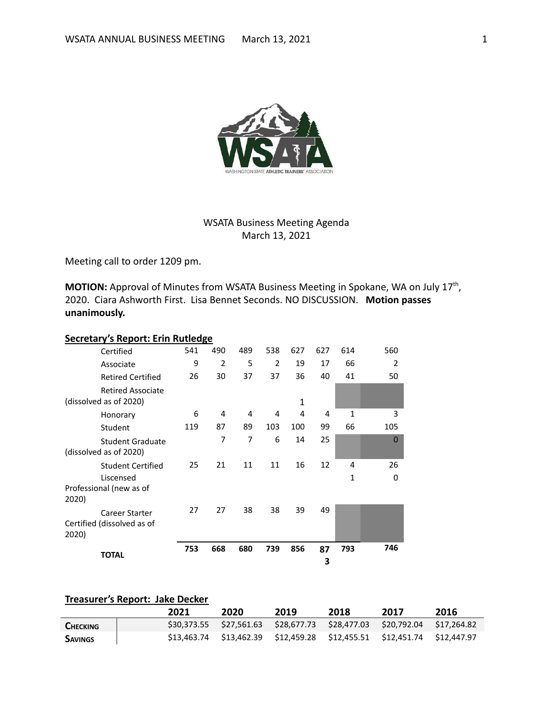

# WSATA Business Meeting Agenda March 13, 2021

Meeting call to order 1209 pm.

MOTION: Approval of Minutes from WSATA Business Meeting in Spokane, WA on July 17<sup>th</sup>, 2020. Ciara Ashworth First. Lisa Bennet Seconds. NO DISCUSSION. **Motion passes unanimously.**

# **Secretary's Report: Erin Rutledge**

| Certified                                          | 541 | 490 | 489 | 538            | 627         | 627     | 614          | 560            |
|----------------------------------------------------|-----|-----|-----|----------------|-------------|---------|--------------|----------------|
| Associate                                          | 9   | 2   | 5   | $\overline{2}$ | 19          | 17      | 66           | $\overline{2}$ |
| <b>Retired Certified</b>                           | 26  | 30  | 37  | 37             | 36          | 40      | 41           | 50             |
| <b>Retired Associate</b><br>(dissolved as of 2020) |     |     |     |                | $\mathbf 1$ |         |              |                |
| Honorary                                           | 6   | 4   | 4   | 4              | 4           | 4       | $\mathbf{1}$ | 3              |
| Student                                            | 119 | 87  | 89  | 103            | 100         | 99      | 66           | 105            |
| <b>Student Graduate</b>                            |     | 7   | 7   | 6              | 14          | 25      |              | $\mathbf{0}$   |
| (dissolved as of 2020)                             |     |     |     |                |             |         |              |                |
| <b>Student Certified</b>                           | 25  | 21  | 11  | 11             | 16          | 12      | 4            | 26             |
| Liscensed                                          |     |     |     |                |             |         | $\mathbf{1}$ | $\Omega$       |
| Professional (new as of<br>2020)                   |     |     |     |                |             |         |              |                |
| Career Starter                                     | 27  | 27  | 38  | 38             | 39          | 49      |              |                |
| Certified (dissolved as of<br>2020)                |     |     |     |                |             |         |              |                |
| <b>TOTAL</b>                                       | 753 | 668 | 680 | 739            | 856         | 87<br>3 | 793          | 746            |

### **Treasurer's Report: Jake Decker**

|                 | 2021 | 2020 | 2019 | 2018                                                                    | 2017 | 2016 |
|-----------------|------|------|------|-------------------------------------------------------------------------|------|------|
| <b>CHECKING</b> |      |      |      | \$30,373.55 \$27,561.63 \$28,677.73 \$28,477.03 \$20,792.04 \$17,264.82 |      |      |
| <b>SAVINGS</b>  |      |      |      | \$13,463.74 \$13,462.39 \$12,459.28 \$12,455.51 \$12,451.74 \$12,447.97 |      |      |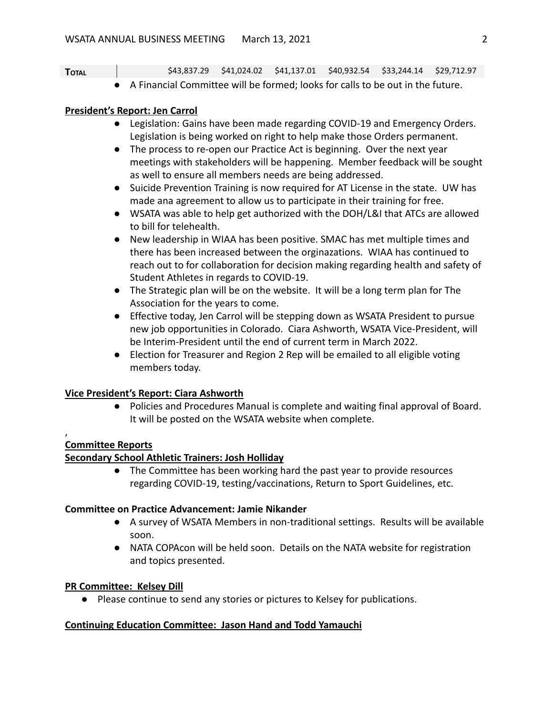**TOTAL 1** \$43,837.29 \$41,024.02 \$41,137.01 \$40,932.54 \$33,244.14 \$29,712.97

● A Financial Committee will be formed; looks for calls to be out in the future.

### **President's Report: Jen Carrol**

- Legislation: Gains have been made regarding COVID-19 and Emergency Orders. Legislation is being worked on right to help make those Orders permanent.
- The process to re-open our Practice Act is beginning. Over the next year meetings with stakeholders will be happening. Member feedback will be sought as well to ensure all members needs are being addressed.
- Suicide Prevention Training is now required for AT License in the state. UW has made ana agreement to allow us to participate in their training for free.
- WSATA was able to help get authorized with the DOH/L&I that ATCs are allowed to bill for telehealth.
- New leadership in WIAA has been positive. SMAC has met multiple times and there has been increased between the orginazations. WIAA has continued to reach out to for collaboration for decision making regarding health and safety of Student Athletes in regards to COVID-19.
- The Strategic plan will be on the website. It will be a long term plan for The Association for the years to come.
- Effective today, Jen Carrol will be stepping down as WSATA President to pursue new job opportunities in Colorado. Ciara Ashworth, WSATA Vice-President, will be Interim-President until the end of current term in March 2022.
- Election for Treasurer and Region 2 Rep will be emailed to all eligible voting members today.

## **Vice President's Report: Ciara Ashworth**

● Policies and Procedures Manual is complete and waiting final approval of Board. It will be posted on the WSATA website when complete.

### , **Committee Reports**

## **Secondary School Athletic Trainers: Josh Holliday**

● The Committee has been working hard the past year to provide resources regarding COVID-19, testing/vaccinations, Return to Sport Guidelines, etc.

### **Committee on Practice Advancement: Jamie Nikander**

- A survey of WSATA Members in non-traditional settings. Results will be available soon.
- NATA COPAcon will be held soon. Details on the NATA website for registration and topics presented.

### **PR Committee: Kelsey Dill**

● Please continue to send any stories or pictures to Kelsey for publications.

### **Continuing Education Committee: Jason Hand and Todd Yamauchi**